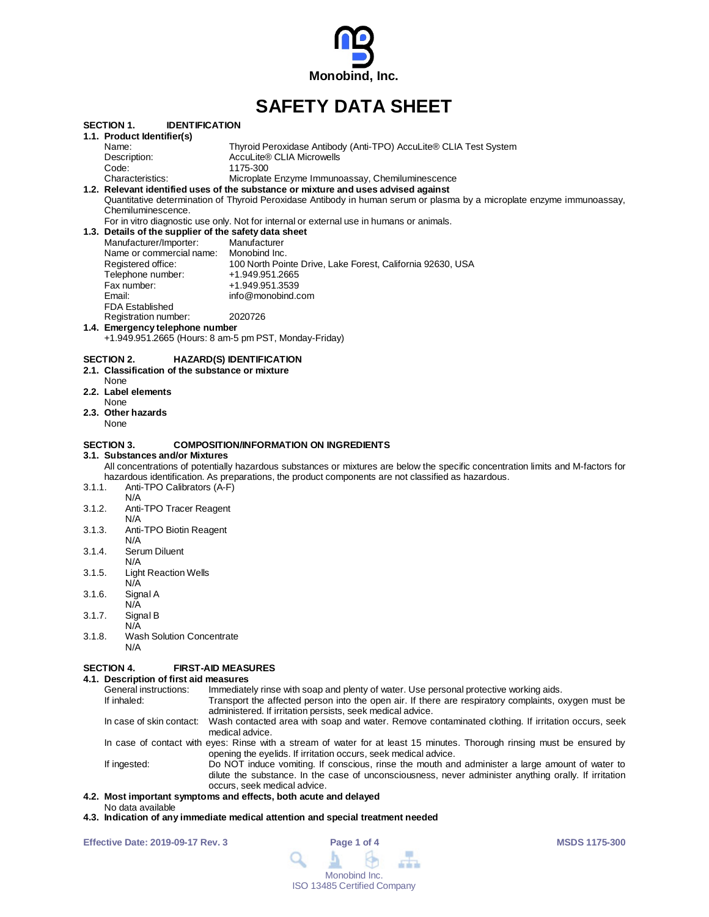

# **SAFETY DATA SHEET**

|        |                                                                                 | VAI LI I <i>V</i> AIA VIILL                                                                                                      |  |  |  |  |  |  |
|--------|---------------------------------------------------------------------------------|----------------------------------------------------------------------------------------------------------------------------------|--|--|--|--|--|--|
|        | <b>IDENTIFICATION</b><br>SECTION 1.                                             |                                                                                                                                  |  |  |  |  |  |  |
|        | 1.1. Product Identifier(s)                                                      |                                                                                                                                  |  |  |  |  |  |  |
|        | Name:                                                                           | Thyroid Peroxidase Antibody (Anti-TPO) AccuLite® CLIA Test System                                                                |  |  |  |  |  |  |
|        | Description:                                                                    | AccuLite® CLIA Microwells                                                                                                        |  |  |  |  |  |  |
|        | Code:                                                                           | 1175-300                                                                                                                         |  |  |  |  |  |  |
|        | Characteristics:                                                                | Microplate Enzyme Immunoassay, Chemiluminescence                                                                                 |  |  |  |  |  |  |
|        |                                                                                 | 1.2. Relevant identified uses of the substance or mixture and uses advised against                                               |  |  |  |  |  |  |
|        |                                                                                 | Quantitative determination of Thyroid Peroxidase Antibody in human serum or plasma by a microplate enzyme immunoassay,           |  |  |  |  |  |  |
|        | Chemiluminescence.                                                              |                                                                                                                                  |  |  |  |  |  |  |
|        |                                                                                 | For in vitro diagnostic use only. Not for internal or external use in humans or animals.                                         |  |  |  |  |  |  |
|        | 1.3. Details of the supplier of the safety data sheet<br>Manufacturer/Importer: | Manufacturer                                                                                                                     |  |  |  |  |  |  |
|        | Name or commercial name: Monobind Inc.                                          |                                                                                                                                  |  |  |  |  |  |  |
|        | Registered office:                                                              | 100 North Pointe Drive, Lake Forest, California 92630, USA                                                                       |  |  |  |  |  |  |
|        | Telephone number:                                                               | +1.949.951.2665                                                                                                                  |  |  |  |  |  |  |
|        | Fax number:                                                                     | +1.949.951.3539                                                                                                                  |  |  |  |  |  |  |
|        | Email:                                                                          | info@monobind.com                                                                                                                |  |  |  |  |  |  |
|        | <b>FDA Established</b>                                                          |                                                                                                                                  |  |  |  |  |  |  |
|        | Registration number:                                                            | 2020726                                                                                                                          |  |  |  |  |  |  |
|        | 1.4. Emergency telephone number                                                 |                                                                                                                                  |  |  |  |  |  |  |
|        |                                                                                 | +1.949.951.2665 (Hours: 8 am-5 pm PST, Monday-Friday)                                                                            |  |  |  |  |  |  |
|        |                                                                                 |                                                                                                                                  |  |  |  |  |  |  |
|        | SECTION 2.                                                                      | <b>HAZARD(S) IDENTIFICATION</b>                                                                                                  |  |  |  |  |  |  |
|        | 2.1. Classification of the substance or mixture                                 |                                                                                                                                  |  |  |  |  |  |  |
|        | None<br>2.2. Label elements                                                     |                                                                                                                                  |  |  |  |  |  |  |
|        | None                                                                            |                                                                                                                                  |  |  |  |  |  |  |
|        | 2.3. Other hazards                                                              |                                                                                                                                  |  |  |  |  |  |  |
|        | None                                                                            |                                                                                                                                  |  |  |  |  |  |  |
|        |                                                                                 |                                                                                                                                  |  |  |  |  |  |  |
|        | SECTION 3.                                                                      | <b>COMPOSITION/INFORMATION ON INGREDIENTS</b>                                                                                    |  |  |  |  |  |  |
|        | 3.1. Substances and/or Mixtures                                                 |                                                                                                                                  |  |  |  |  |  |  |
|        |                                                                                 | All concentrations of potentially hazardous substances or mixtures are below the specific concentration limits and M-factors for |  |  |  |  |  |  |
|        |                                                                                 | hazardous identification. As preparations, the product components are not classified as hazardous.                               |  |  |  |  |  |  |
| 3.1.1. | Anti-TPO Calibrators (A-F)                                                      |                                                                                                                                  |  |  |  |  |  |  |
|        | N/A                                                                             |                                                                                                                                  |  |  |  |  |  |  |
| 3.1.2. | Anti-TPO Tracer Reagent                                                         |                                                                                                                                  |  |  |  |  |  |  |
|        | N/A                                                                             |                                                                                                                                  |  |  |  |  |  |  |
| 3.1.3. | Anti-TPO Biotin Reagent<br>N/A                                                  |                                                                                                                                  |  |  |  |  |  |  |
| 3.1.4. | Serum Diluent                                                                   |                                                                                                                                  |  |  |  |  |  |  |
|        | N/A                                                                             |                                                                                                                                  |  |  |  |  |  |  |
| 3.1.5. | <b>Light Reaction Wells</b>                                                     |                                                                                                                                  |  |  |  |  |  |  |
|        | N/A                                                                             |                                                                                                                                  |  |  |  |  |  |  |
| 3.1.6. | Signal A                                                                        |                                                                                                                                  |  |  |  |  |  |  |
|        | N/A                                                                             |                                                                                                                                  |  |  |  |  |  |  |
| 3.1.7. | Signal B                                                                        |                                                                                                                                  |  |  |  |  |  |  |
|        | N/A                                                                             |                                                                                                                                  |  |  |  |  |  |  |
| 3.1.8. | <b>Wash Solution Concentrate</b>                                                |                                                                                                                                  |  |  |  |  |  |  |
|        | N/A                                                                             |                                                                                                                                  |  |  |  |  |  |  |
|        |                                                                                 |                                                                                                                                  |  |  |  |  |  |  |
|        | SECTION 4.                                                                      | <b>FIRST-AID MEASURES</b>                                                                                                        |  |  |  |  |  |  |
|        | 4.1. Description of first aid measures                                          |                                                                                                                                  |  |  |  |  |  |  |
|        | General instructions:                                                           | Immediately rinse with soap and plenty of water. Use personal protective working aids.                                           |  |  |  |  |  |  |
|        | If inhaled:                                                                     | Transport the affected person into the open air. If there are respiratory complaints, oxygen must be                             |  |  |  |  |  |  |

administered. If irritation persists, seek medical advice. In case of skin contact: Wash contacted area with soap and water. Remove contaminated clothing. If irritation occurs, seek medical advice. In case of contact with eyes: Rinse with a stream of water for at least 15 minutes. Thorough rinsing must be ensured by opening the eyelids. If irritation occurs, seek medical advice.

If ingested: Do NOT induce vomiting. If conscious, rinse the mouth and administer a large amount of water to dilute the substance. In the case of unconsciousness, never administer anything orally. If irritation occurs, seek medical advice.

# **4.2. Most important symptoms and effects, both acute and delayed**

- No data available
- **4.3. Indication of any immediate medical attention and special treatment needed**

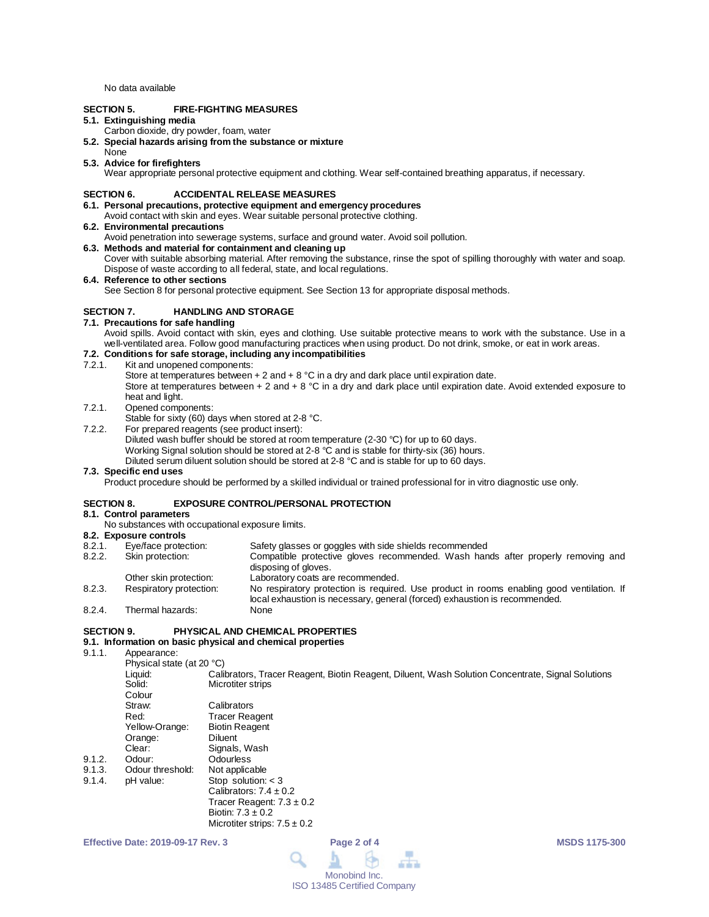No data available

# **SECTION 5. FIRE-FIGHTING MEASURES**

# **5.1. Extinguishing media**

- Carbon dioxide, dry powder, foam, water
- **5.2. Special hazards arising from the substance or mixture**
- None

#### **5.3. Advice for firefighters**

Wear appropriate personal protective equipment and clothing. Wear self-contained breathing apparatus, if necessary.

# **SECTION 6. ACCIDENTAL RELEASE MEASURES**

- **6.1. Personal precautions, protective equipment and emergency procedures** Avoid contact with skin and eyes. Wear suitable personal protective clothing.
- **6.2. Environmental precautions**
- 
- Avoid penetration into sewerage systems, surface and ground water. Avoid soil pollution. **6.3. Methods and material for containment and cleaning up**
- Cover with suitable absorbing material. After removing the substance, rinse the spot of spilling thoroughly with water and soap. Dispose of waste according to all federal, state, and local regulations.

#### **6.4. Reference to other sections**

See Section 8 for personal protective equipment. See Section 13 for appropriate disposal methods.

# **SECTION 7. HANDLING AND STORAGE**

# **7.1. Precautions for safe handling**

Avoid spills. Avoid contact with skin, eyes and clothing. Use suitable protective means to work with the substance. Use in a well-ventilated area. Follow good manufacturing practices when using product. Do not drink, smoke, or eat in work areas.

# **7.2. Conditions for safe storage, including any incompatibilities**

Kit and unopened components:

Store at temperatures between  $+ 2$  and  $+ 8$  °C in a dry and dark place until expiration date. Store at temperatures between + 2 and + 8 °C in a dry and dark place until expiration date. Avoid extended exposure to heat and light.

#### 7.2.1. Opened components:

- Stable for sixty (60) days when stored at 2-8 °C.
- 7.2.2. For prepared reagents (see product insert):
	- Diluted wash buffer should be stored at room temperature (2-30 °C) for up to 60 days.

Working Signal solution should be stored at 2-8 °C and is stable for thirty-six (36) hours.

Diluted serum diluent solution should be stored at 2-8 °C and is stable for up to 60 days.

#### **7.3. Specific end uses**

Product procedure should be performed by a skilled individual or trained professional for in vitro diagnostic use only.

#### **SECTION 8. EXPOSURE CONTROL/PERSONAL PROTECTION**

#### **8.1. Control parameters**

No substances with occupational exposure limits.

# **8.2. Exposure controls**

| 8.2.1. | Eye/face protection:    | Safety glasses or goggles with side shields recommended                                                                                                                 |  |  |  |  |
|--------|-------------------------|-------------------------------------------------------------------------------------------------------------------------------------------------------------------------|--|--|--|--|
| 8.2.2. | Skin protection:        | Compatible protective gloves recommended. Wash hands after properly removing and<br>disposing of gloves.                                                                |  |  |  |  |
|        | Other skin protection:  | Laboratory coats are recommended.                                                                                                                                       |  |  |  |  |
| 8.2.3. | Respiratory protection: | No respiratory protection is required. Use product in rooms enabling good ventilation. If<br>local exhaustion is necessary, general (forced) exhaustion is recommended. |  |  |  |  |
| 8.2.4. | Thermal hazards:        | None                                                                                                                                                                    |  |  |  |  |

## **SECTION 9. PHYSICAL AND CHEMICAL PROPERTIES**

# **9.1. Information on basic physical and chemical properties**

9.1.1. Appearance:

|        | Physical state (at 20 °C) |                                                                                                   |
|--------|---------------------------|---------------------------------------------------------------------------------------------------|
|        | Liauid:                   | Calibrators, Tracer Reagent, Biotin Reagent, Diluent, Wash Solution Concentrate, Signal Solutions |
|        | Solid:                    | Microtiter strips                                                                                 |
|        | Colour                    |                                                                                                   |
|        | Straw:                    | Calibrators                                                                                       |
|        | Red:                      | <b>Tracer Reagent</b>                                                                             |
|        | Yellow-Orange:            | <b>Biotin Reagent</b>                                                                             |
|        | Orange:                   | <b>Diluent</b>                                                                                    |
|        | Clear:                    | Signals, Wash                                                                                     |
| 9.1.2. | Odour:                    | Odourless                                                                                         |
| 9.1.3. | Odour threshold:          | Not applicable                                                                                    |
| 9.1.4. | pH value:                 | Stop solution: $<$ 3                                                                              |
|        |                           | Calibrators: $7.4 \pm 0.2$                                                                        |
|        |                           | Tracer Reagent: $7.3 \pm 0.2$                                                                     |
|        |                           | Biotin: $7.3 \pm 0.2$                                                                             |
|        |                           | Microtiter strips: $7.5 \pm 0.2$                                                                  |

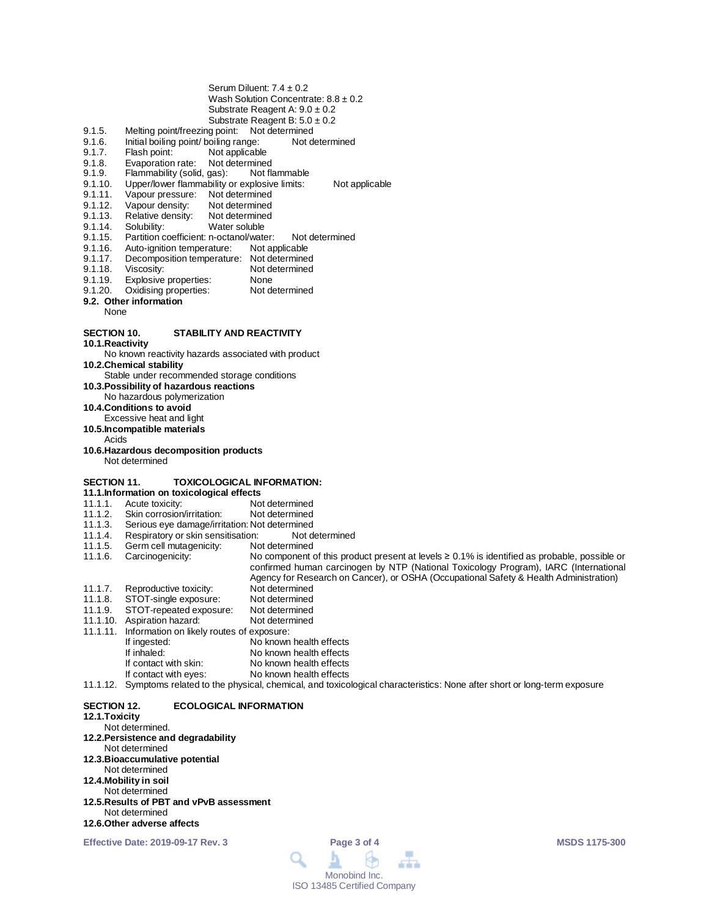| Serum Diluent: $7.4 \pm 0.2$             |
|------------------------------------------|
| Wash Solution Concentrate: $8.8 \pm 0.2$ |
| Substrate Reagent A: $9.0 \pm 0.2$       |
| Substrate Reagent B: $5.0 \pm 0.2$       |

- 
- 9.1.5. Melting point/freezing point: Not determined<br>9.1.6. Initial boiling point/ boiling range: Not determined 9.1.6. Initial boiling point/ boiling range:<br>9.1.7. Flash point: Not applicable
- 9.1.7. Flash point: Not applicable<br>9.1.8. Evaporation rate: Not determine
- 
- 9.1.8. Evaporation rate: Not determined<br>9.1.9. Flammability (solid, gas): Not flammable 9.1.9. Flammability (solid, gas):<br>9.1.10. Upper/lower flammability
- 9.1.10. Upper/lower flammability or explosive limits: Not applicable<br>9.1.11. Vapour pressure: Not determined
- 9.1.11. Vapour pressure: Not determined<br>9.1.12. Vapour density: Not determined
- 9.1.12. Vapour density: Not determined<br>9.1.13. Relative density: Not determined
- 9.1.13. Relative density:<br>9.1.14. Solubility:
- 9.1.14. Solubility: Water soluble<br>9.1.15. Partition coefficient: n-octanol/wate
- 9.1.15. Partition coefficient: n-octanol/water: Not determined<br>9.1.16. Auto-ignition temperature: Not applicable
- 9.1.16. Auto-ignition temperature:<br>9.1.17. Decomposition temperature
- 9.1.17. Decomposition temperature: Not determined<br>9.1.18. Viscosity: Not determined
- 9.1.18. Viscosity: Not determined<br>9.1.19. Explosive properties: None
- Explosive properties: None<br>
Oxidising properties: Not determined
- 9.1.20. Oxidising properties:

# **9.2. Other information**

None

# **SECTION 10. STABILITY AND REACTIVITY**

- **10.1.Reactivity**
- No known reactivity hazards associated with product
- **10.2.Chemical stability**
- Stable under recommended storage conditions
- **10.3.Possibility of hazardous reactions** No hazardous polymerization
- **10.4.Conditions to avoid**
- Excessive heat and light
- **10.5.Incompatible materials**
- Acids
- **10.6.Hazardous decomposition products** Not determined

#### **SECTION 11. TOXICOLOGICAL INFORMATION:**

- 
- **11.1.Information on toxicological effects** 11.1.1. Acute toxicity: Not determined<br>11.1.2. Skin corrosion/irritation: Not determined
- Skin corrosion/irritation:
- 11.1.3. Serious eye damage/irritation: Not determined
- Respiratory or skin sensitisation:
- 11.1.5. Germ cell mutagenicity: Not determined<br>11.1.6. Carcinogenicity: No component of
- 

No component of this product present at levels  $\geq 0.1\%$  is identified as probable, possible or confirmed human carcinogen by NTP (National Toxicology Program), IARC (International Agency for Research on Cancer), or OSHA (Occupational Safety & Health Administration)

- 11.1.7. Reproductive toxicity: Not determined<br>11.1.8. STOT-single exposure: Not determined
- 11.1.8. STOT-single exposure: Not determined<br>11.1.9. STOT-repeated exposure: Not determined
- STOT-repeated exposure: Not determined<br>Aspiration hazard: Not determined
- 11.1.10. Aspiration hazard:
- 11.1.11. Information on likely routes of exposure:
- If ingested: No known health effects<br>
If inhaled: No known health effects
	- If inhaled:<br>
	If contact with skin:<br>
	No known health effects
	- If contact with skin: No known health effects<br>If contact with eyes: No known health effects
- No known health effects

11.1.12. Symptoms related to the physical, chemical, and toxicological characteristics: None after short or long-term exposure

**SECTION 12. ECOLOGICAL INFORMATION 12.1.Toxicity**

Not determined. **12.2.Persistence and degradability** Not determined **12.3.Bioaccumulative potential** Not determined **12.4.Mobility in soil** Not determined **12.5.Results of PBT and vPvB assessment** Not determined **12.6.Other adverse affects**

**Effective Date: 2019-09-17 Rev. 3 Page 3 of 4 MSDS 1175-300**